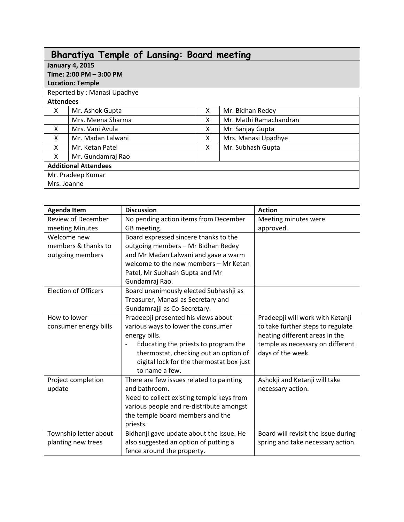| <b>Bharatiya Temple of Lansing: Board meeting</b> |                             |   |                        |  |  |  |
|---------------------------------------------------|-----------------------------|---|------------------------|--|--|--|
| <b>January 4, 2015</b>                            |                             |   |                        |  |  |  |
| Time: 2:00 PM - 3:00 PM                           |                             |   |                        |  |  |  |
| <b>Location: Temple</b>                           |                             |   |                        |  |  |  |
|                                                   | Reported by: Manasi Upadhye |   |                        |  |  |  |
| <b>Attendees</b>                                  |                             |   |                        |  |  |  |
| X                                                 | Mr. Ashok Gupta             | X | Mr. Bidhan Redey       |  |  |  |
|                                                   | Mrs. Meena Sharma           | X | Mr. Mathi Ramachandran |  |  |  |
| X                                                 | Mrs. Vani Avula             | x | Mr. Sanjay Gupta       |  |  |  |
| X                                                 | Mr. Madan Lalwani           | X | Mrs. Manasi Upadhye    |  |  |  |
| X                                                 | Mr. Ketan Patel             | X | Mr. Subhash Gupta      |  |  |  |
| X                                                 | Mr. Gundamraj Rao           |   |                        |  |  |  |
| <b>Additional Attendees</b>                       |                             |   |                        |  |  |  |
|                                                   | Mr. Pradeep Kumar           |   |                        |  |  |  |
| Mrs. Joanne                                       |                             |   |                        |  |  |  |

| <b>Agenda Item</b>          | <b>Discussion</b>                         | <b>Action</b>                       |
|-----------------------------|-------------------------------------------|-------------------------------------|
| <b>Review of December</b>   | No pending action items from December     | Meeting minutes were                |
| meeting Minutes             | GB meeting.                               | approved.                           |
| Welcome new                 | Board expressed sincere thanks to the     |                                     |
| members & thanks to         | outgoing members - Mr Bidhan Redey        |                                     |
| outgoing members            | and Mr Madan Lalwani and gave a warm      |                                     |
|                             | welcome to the new members - Mr Ketan     |                                     |
|                             | Patel, Mr Subhash Gupta and Mr            |                                     |
|                             | Gundamraj Rao.                            |                                     |
| <b>Election of Officers</b> | Board unanimously elected Subhashji as    |                                     |
|                             | Treasurer, Manasi as Secretary and        |                                     |
|                             | Gundamrajji as Co-Secretary.              |                                     |
| How to lower                | Pradeepji presented his views about       | Pradeepji will work with Ketanji    |
| consumer energy bills       | various ways to lower the consumer        | to take further steps to regulate   |
|                             | energy bills.                             | heating different areas in the      |
|                             | Educating the priests to program the      | temple as necessary on different    |
|                             | thermostat, checking out an option of     | days of the week.                   |
|                             | digital lock for the thermostat box just  |                                     |
|                             | to name a few.                            |                                     |
| Project completion          | There are few issues related to painting  | Ashokji and Ketanji will take       |
| update                      | and bathroom.                             | necessary action.                   |
|                             | Need to collect existing temple keys from |                                     |
|                             | various people and re-distribute amongst  |                                     |
|                             | the temple board members and the          |                                     |
|                             | priests.                                  |                                     |
| Township letter about       | Bidhanji gave update about the issue. He  | Board will revisit the issue during |
| planting new trees          | also suggested an option of putting a     | spring and take necessary action.   |
|                             | fence around the property.                |                                     |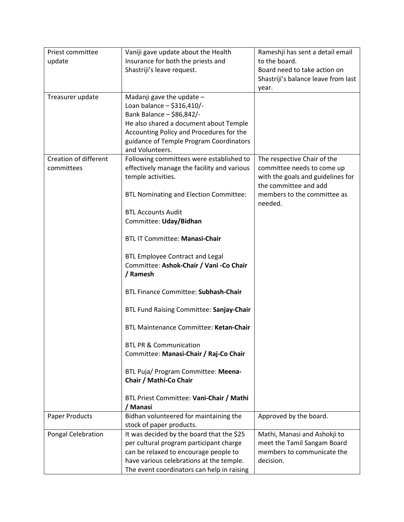| Priest committee      | Vaniji gave update about the Health           | Rameshji has sent a detail email    |  |
|-----------------------|-----------------------------------------------|-------------------------------------|--|
| update                | Insurance for both the priests and            | to the board.                       |  |
|                       | Shastriji's leave request.                    | Board need to take action on        |  |
|                       |                                               | Shastriji's balance leave from last |  |
|                       |                                               | year.                               |  |
| Treasurer update      | Madanji gave the update -                     |                                     |  |
|                       | Loan balance - \$316,410/-                    |                                     |  |
|                       | Bank Balance - \$86,842/-                     |                                     |  |
|                       | He also shared a document about Temple        |                                     |  |
|                       | Accounting Policy and Procedures for the      |                                     |  |
|                       | guidance of Temple Program Coordinators       |                                     |  |
|                       | and Volunteers.                               |                                     |  |
| Creation of different | Following committees were established to      | The respective Chair of the         |  |
| committees            | effectively manage the facility and various   | committee needs to come up          |  |
|                       | temple activities.                            | with the goals and guidelines for   |  |
|                       |                                               | the committee and add               |  |
|                       | <b>BTL Nominating and Election Committee:</b> | members to the committee as         |  |
|                       |                                               | needed.                             |  |
|                       | <b>BTL Accounts Audit</b>                     |                                     |  |
|                       | Committee: Uday/Bidhan                        |                                     |  |
|                       |                                               |                                     |  |
|                       | <b>BTL IT Committee: Manasi-Chair</b>         |                                     |  |
|                       | <b>BTL Employee Contract and Legal</b>        |                                     |  |
|                       | Committee: Ashok-Chair / Vani -Co Chair       |                                     |  |
|                       | / Ramesh                                      |                                     |  |
|                       |                                               |                                     |  |
|                       | <b>BTL Finance Committee: Subhash-Chair</b>   |                                     |  |
|                       |                                               |                                     |  |
|                       | BTL Fund Raising Committee: Sanjay-Chair      |                                     |  |
|                       |                                               |                                     |  |
|                       | <b>BTL Maintenance Committee: Ketan-Chair</b> |                                     |  |
|                       |                                               |                                     |  |
|                       | <b>BTL PR &amp; Communication</b>             |                                     |  |
|                       | Committee: Manasi-Chair / Raj-Co Chair        |                                     |  |
|                       |                                               |                                     |  |
|                       | BTL Puja/ Program Committee: Meena-           |                                     |  |
|                       | Chair / Mathi-Co Chair                        |                                     |  |
|                       |                                               |                                     |  |
|                       | BTL Priest Committee: Vani-Chair / Mathi      |                                     |  |
|                       | / Manasi                                      |                                     |  |
| <b>Paper Products</b> | Bidhan volunteered for maintaining the        | Approved by the board.              |  |
|                       | stock of paper products.                      |                                     |  |
| Pongal Celebration    | It was decided by the board that the \$25     | Mathi, Manasi and Ashokji to        |  |
|                       | per cultural program participant charge       | meet the Tamil Sangam Board         |  |
|                       | can be relaxed to encourage people to         | members to communicate the          |  |
|                       | have various celebrations at the temple.      | decision.                           |  |
|                       | The event coordinators can help in raising    |                                     |  |